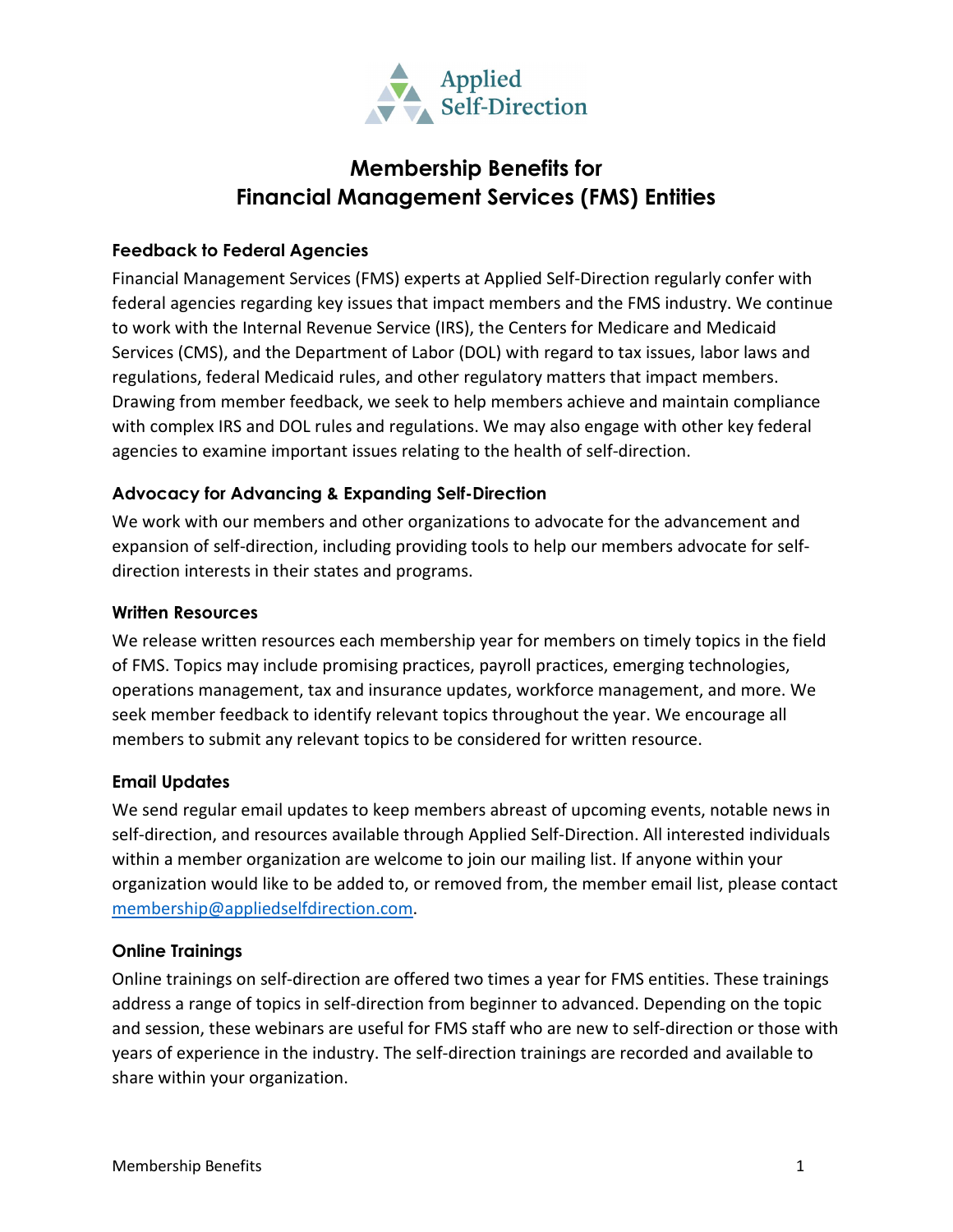

# **Membership Benefits for Financial Management Services (FMS) Entities**

# **Feedback to Federal Agencies**

Financial Management Services (FMS) experts at Applied Self-Direction regularly confer with federal agencies regarding key issues that impact members and the FMS industry. We continue to work with the Internal Revenue Service (IRS), the Centers for Medicare and Medicaid Services (CMS), and the Department of Labor (DOL) with regard to tax issues, labor laws and regulations, federal Medicaid rules, and other regulatory matters that impact members. Drawing from member feedback, we seek to help members achieve and maintain compliance with complex IRS and DOL rules and regulations. We may also engage with other key federal agencies to examine important issues relating to the health of self-direction.

## **Advocacy for Advancing & Expanding Self-Direction**

We work with our members and other organizations to advocate for the advancement and expansion of self-direction, including providing tools to help our members advocate for selfdirection interests in their states and programs.

#### **Written Resources**

We release written resources each membership year for members on timely topics in the field of FMS. Topics may include promising practices, payroll practices, emerging technologies, operations management, tax and insurance updates, workforce management, and more. We seek member feedback to identify relevant topics throughout the year. We encourage all members to submit any relevant topics to be considered for written resource.

## **Email Updates**

We send regular email updates to keep members abreast of upcoming events, notable news in self-direction, and resources available through Applied Self-Direction. All interested individuals within a member organization are welcome to join our mailing list. If anyone within your organization would like to be added to, or removed from, the member email list, please contact [membership@appliedselfdirection.com.](mailto:membership@appliedselfdirection.com)

#### **Online Trainings**

Online trainings on self-direction are offered two times a year for FMS entities. These trainings address a range of topics in self-direction from beginner to advanced. Depending on the topic and session, these webinars are useful for FMS staff who are new to self-direction or those with years of experience in the industry. The self-direction trainings are recorded and available to share within your organization.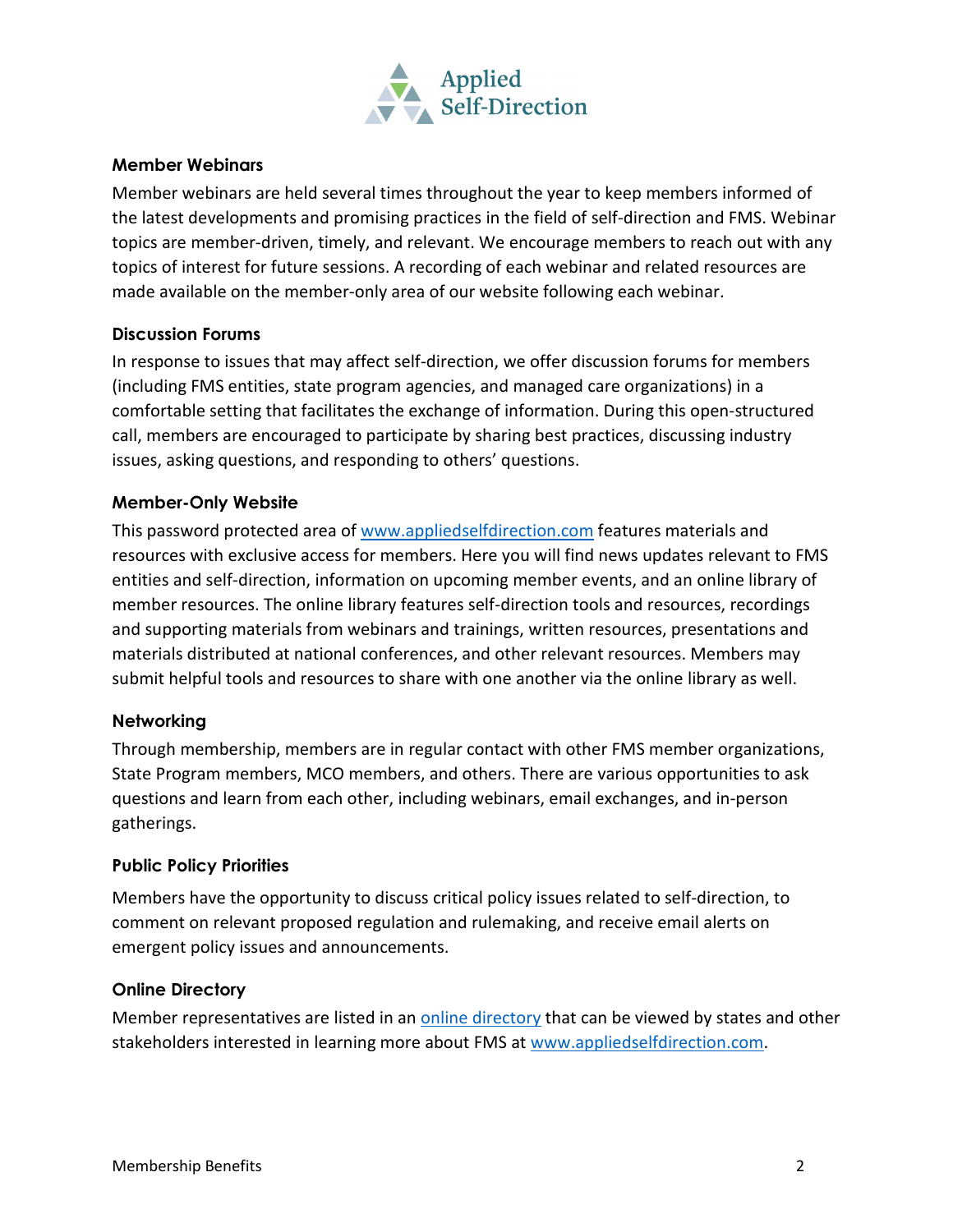

# **Member Webinars**

Member webinars are held several times throughout the year to keep members informed of the latest developments and promising practices in the field of self-direction and FMS. Webinar topics are member-driven, timely, and relevant. We encourage members to reach out with any topics of interest for future sessions. A recording of each webinar and related resources are made available on the member-only area of our website following each webinar.

## **Discussion Forums**

In response to issues that may affect self-direction, we offer discussion forums for members (including FMS entities, state program agencies, and managed care organizations) in a comfortable setting that facilitates the exchange of information. During this open-structured call, members are encouraged to participate by sharing best practices, discussing industry issues, asking questions, and responding to others' questions.

#### **Member-Only Website**

This password protected area of [www.appliedselfdirection.com](http://www.appliedselfdirection.com/) features materials and resources with exclusive access for members. Here you will find news updates relevant to FMS entities and self-direction, information on upcoming member events, and an online library of member resources. The online library features self-direction tools and resources, recordings and supporting materials from webinars and trainings, written resources, presentations and materials distributed at national conferences, and other relevant resources. Members may submit helpful tools and resources to share with one another via the online library as well.

#### **Networking**

Through membership, members are in regular contact with other FMS member organizations, State Program members, MCO members, and others. There are various opportunities to ask questions and learn from each other, including webinars, email exchanges, and in-person gatherings.

## **Public Policy Priorities**

Members have the opportunity to discuss critical policy issues related to self-direction, to comment on relevant proposed regulation and rulemaking, and receive email alerts on emergent policy issues and announcements.

#### **Online Directory**

Member representatives are listed in an [online directory](https://www.appliedselfdirection.com/resources/fms-membership-directory) that can be viewed by states and other stakeholders interested in learning more about FMS at [www.appliedselfdirection.com.](http://www.appliedselfdirection.com/)